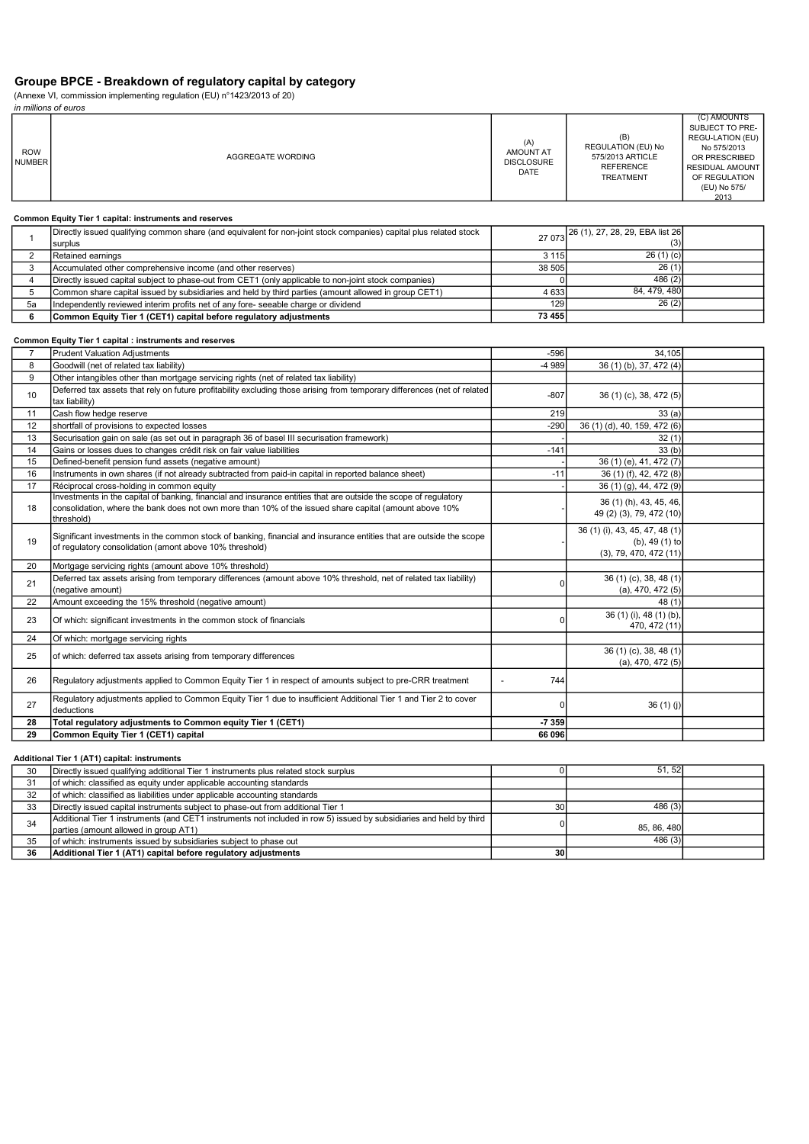# Groupe BPCE - Breakdown of regulatory capital by category

(Annexe VI, commission implementing regulation (EU) n°1423/2013 of 20)

in millions of euros

| <b>ROW</b><br><b>NUMBER</b> | AGGREGATE WORDING                                                                                                            | (A)<br><b>AMOUNT AT</b><br><b>DISCLOSURE</b><br>DATE | (B)<br><b>REGULATION (EU) No</b><br>575/2013 ARTICLE<br><b>REFERENCE</b><br><b>TREATMENT</b> | (C) AMOUNTS<br>SUBJECT TO PRE-<br>REGU-LATION (EU)<br>No 575/2013<br>OR PRESCRIBED<br><b>RESIDUAL AMOUNT</b><br>OF REGULATION<br>(EU) No 575/<br>2013 |
|-----------------------------|------------------------------------------------------------------------------------------------------------------------------|------------------------------------------------------|----------------------------------------------------------------------------------------------|-------------------------------------------------------------------------------------------------------------------------------------------------------|
|                             | Common Equity Tier 1 capital: instruments and reserves                                                                       |                                                      |                                                                                              |                                                                                                                                                       |
|                             | Directly issued qualifying common share (and equivalent for non-joint stock companies) capital plus related stock<br>surplus |                                                      | 27 073 26 (1), 27, 28, 29, EBA list 26<br>(3)                                                |                                                                                                                                                       |
| 2                           | Retained earnings                                                                                                            | 3 1 1 5                                              | 26(1)(c)                                                                                     |                                                                                                                                                       |
| 3                           | Accumulated other comprehensive income (and other reserves)                                                                  | 38 505                                               | 26(1)                                                                                        |                                                                                                                                                       |
| 4                           | Directly issued capital subject to phase-out from CET1 (only applicable to non-joint stock companies)                        |                                                      | 486(2)                                                                                       |                                                                                                                                                       |
| 5                           | Common share capital issued by subsidiaries and held by third parties (amount allowed in group CET1)                         | 4 6 3 3                                              | 84, 479, 480                                                                                 |                                                                                                                                                       |

5a |Independently reviewed interim profits net of any fore- seeable charge or dividend 129 129 129 26 (2)

For the intervention of the matrice of the common Equity Tier 1 (CET1) capital before regulatory adjustments 73 455

### Common Equity Tier 1 capital : instruments and reserves

| 7  | <b>Prudent Valuation Adjustments</b>                                                                                                                                                                                                      | $-596$  | 34.105                                                                            |  |
|----|-------------------------------------------------------------------------------------------------------------------------------------------------------------------------------------------------------------------------------------------|---------|-----------------------------------------------------------------------------------|--|
| 8  | Goodwill (net of related tax liability)                                                                                                                                                                                                   | -4 989  | 36 (1) (b), 37, 472 (4)                                                           |  |
| 9  | Other intangibles other than mortgage servicing rights (net of related tax liability)                                                                                                                                                     |         |                                                                                   |  |
| 10 | Deferred tax assets that rely on future profitability excluding those arising from temporary differences (net of related<br>tax liability)                                                                                                | $-807$  | 36(1)(c), 38, 472(5)                                                              |  |
| 11 | Cash flow hedge reserve                                                                                                                                                                                                                   | 219     | 33(a)                                                                             |  |
| 12 | shortfall of provisions to expected losses                                                                                                                                                                                                | $-290$  | 36 (1) (d), 40, 159, 472 (6)                                                      |  |
| 13 | Securisation gain on sale (as set out in paragraph 36 of basel III securisation framework)                                                                                                                                                |         | 32(1)                                                                             |  |
| 14 | Gains or losses dues to changes crédit risk on fair value liabilities                                                                                                                                                                     | $-141$  | 33(b)                                                                             |  |
| 15 | Defined-benefit pension fund assets (negative amount)                                                                                                                                                                                     |         | 36 (1) (e), 41, 472 (7)                                                           |  |
| 16 | Instruments in own shares (if not already subtracted from paid-in capital in reported balance sheet)                                                                                                                                      | $-11$   | 36 (1) (f), 42, 472 (8)                                                           |  |
| 17 | Réciprocal cross-holding in common equity                                                                                                                                                                                                 |         | 36 (1) (g), 44, 472 (9)                                                           |  |
| 18 | Investments in the capital of banking, financial and insurance entities that are outside the scope of regulatory<br>consolidation, where the bank does not own more than 10% of the issued share capital (amount above 10%)<br>threshold) |         | 36 (1) (h), 43, 45, 46,<br>49 (2) (3), 79, 472 (10)                               |  |
| 19 | Significant investments in the common stock of banking, financial and insurance entities that are outside the scope<br>of regulatory consolidation (amont above 10% threshold)                                                            |         | 36 (1) (i), 43, 45, 47, 48 (1)<br>(b), 49 $(1)$ to<br>$(3)$ , 79, 470, 472 $(11)$ |  |
| 20 | Mortgage servicing rights (amount above 10% threshold)                                                                                                                                                                                    |         |                                                                                   |  |
| 21 | Deferred tax assets arising from temporary differences (amount above 10% threshold, net of related tax liability)<br>(negative amount)                                                                                                    |         | 36 (1) (c), 38, 48 (1)<br>(a), 470, 472 $(5)$                                     |  |
| 22 | Amount exceeding the 15% threshold (negative amount)                                                                                                                                                                                      |         | 48(1)                                                                             |  |
| 23 | Of which: significant investments in the common stock of financials                                                                                                                                                                       |         | 36 (1) (i), 48 (1) (b),<br>470, 472 (11)                                          |  |
| 24 | Of which: mortgage servicing rights                                                                                                                                                                                                       |         |                                                                                   |  |
| 25 | of which: deferred tax assets arising from temporary differences                                                                                                                                                                          |         | $36(1)(c)$ , 38, 48 $(1)$<br>(a), 470, 472 $(5)$                                  |  |
| 26 | Regulatory adjustments applied to Common Equity Tier 1 in respect of amounts subject to pre-CRR treatment                                                                                                                                 | 744     |                                                                                   |  |
| 27 | Regulatory adjustments applied to Common Equity Tier 1 due to insufficient Additional Tier 1 and Tier 2 to cover<br>deductions                                                                                                            |         | 36 $(1)$ $(j)$                                                                    |  |
| 28 | Total regulatory adjustments to Common equity Tier 1 (CET1)                                                                                                                                                                               | $-7359$ |                                                                                   |  |
| 29 | Common Equity Tier 1 (CET1) capital                                                                                                                                                                                                       | 66 096  |                                                                                   |  |

### Additional Tier 1 (AT1) capital: instruments

| 30 | Directly issued qualifying additional Tier 1 instruments plus related stock surplus                                 |           | 51.52       |  |
|----|---------------------------------------------------------------------------------------------------------------------|-----------|-------------|--|
| 31 | of which: classified as equity under applicable accounting standards                                                |           |             |  |
| 32 | of which: classified as liabilities under applicable accounting standards                                           |           |             |  |
| 33 | Directly issued capital instruments subject to phase-out from additional Tier 1                                     | 30        | 486 (3)     |  |
|    | Additional Tier 1 instruments (and CET1 instruments not included in row 5) issued by subsidiaries and held by third |           |             |  |
| 34 | parties (amount allowed in group AT1)                                                                               |           | 85, 86, 480 |  |
| 35 | of which: instruments issued by subsidiaries subject to phase out                                                   |           | 486(3)      |  |
| 36 | Additional Tier 1 (AT1) capital before regulatory adjustments                                                       | <b>30</b> |             |  |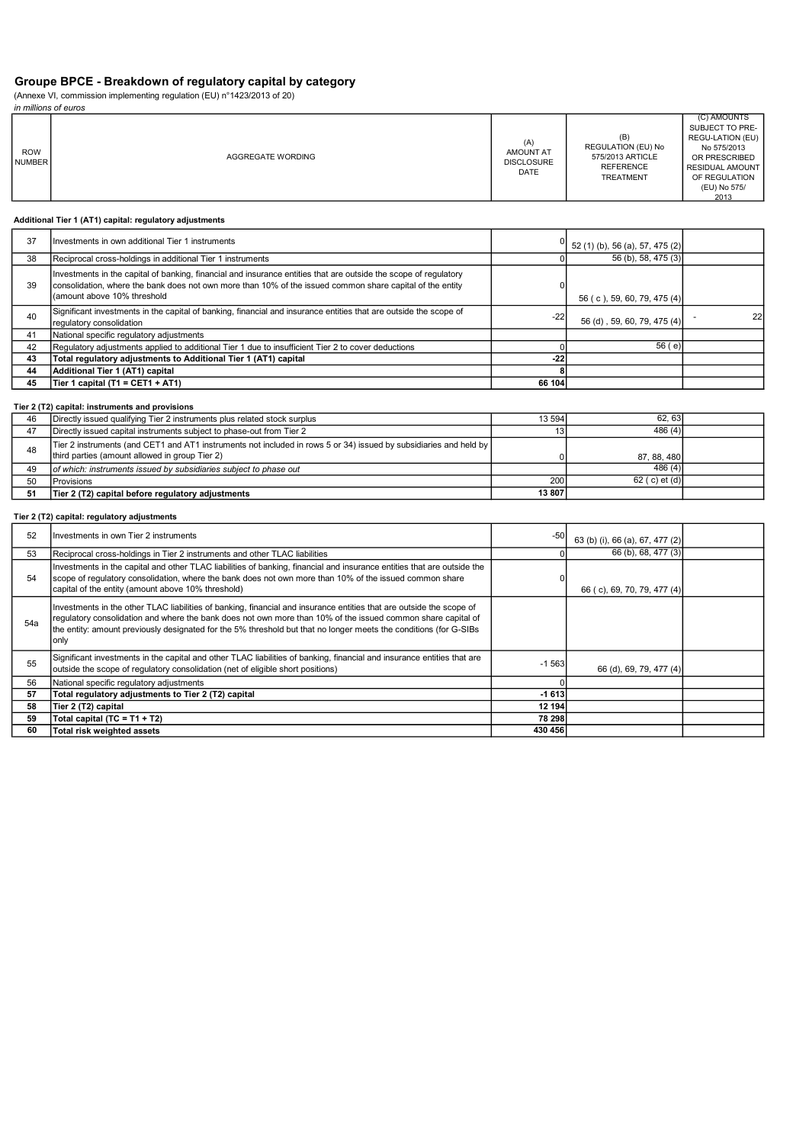# Groupe BPCE - Breakdown of regulatory capital by category

(Annexe VI, commission implementing regulation (EU) n°1423/2013 of 20)

|                             | in millions of euros |                                                             |                                                                                       |                                                                                                                                                |  |  |
|-----------------------------|----------------------|-------------------------------------------------------------|---------------------------------------------------------------------------------------|------------------------------------------------------------------------------------------------------------------------------------------------|--|--|
| <b>ROW</b><br><b>NUMBER</b> | AGGREGATE WORDING    | (A)<br><b>AMOUNT AT</b><br><b>DISCLOSURE</b><br><b>DATE</b> | (B)<br>REGULATION (EU) No<br>575/2013 ARTICLE<br><b>REFERENCE</b><br><b>TREATMENT</b> | (C) AMOUNTS<br>SUBJECT TO PRE-<br>REGU-LATION (EU)<br>No 575/2013<br>OR PRESCRIBED<br>RESIDUAL AMOUNT<br>OF REGULATION<br>(EU) No 575/<br>2013 |  |  |

### Additional Tier 1 (AT1) capital: regulatory adjustments

| 37 | Investments in own additional Tier 1 instruments                                                                                                                                                                                                               |        | 52 (1) (b), 56 (a), 57, 475 (2) |    |
|----|----------------------------------------------------------------------------------------------------------------------------------------------------------------------------------------------------------------------------------------------------------------|--------|---------------------------------|----|
| 38 | Reciprocal cross-holdings in additional Tier 1 instruments                                                                                                                                                                                                     |        | 56 (b), 58, 475 (3)             |    |
| 39 | Investments in the capital of banking, financial and insurance entities that are outside the scope of regulatory<br>consolidation, where the bank does not own more than 10% of the issued common share capital of the entity<br>I (amount above 10% threshold |        | 56 (c), 59, 60, 79, 475 (4)     |    |
| 40 | Significant investments in the capital of banking, financial and insurance entities that are outside the scope of<br>requlatory consolidation                                                                                                                  | $-22$  | 56 (d), 59, 60, 79, 475 (4)     | 22 |
| 41 | National specific regulatory adjustments                                                                                                                                                                                                                       |        |                                 |    |
| 42 | Regulatory adjustments applied to additional Tier 1 due to insufficient Tier 2 to cover deductions                                                                                                                                                             |        | 56(e)                           |    |
| 43 | Total regulatory adjustments to Additional Tier 1 (AT1) capital                                                                                                                                                                                                | $-22$  |                                 |    |
| 44 | Additional Tier 1 (AT1) capital                                                                                                                                                                                                                                |        |                                 |    |
| 45 | Tier 1 capital (T1 = CET1 + AT1)                                                                                                                                                                                                                               | 66 104 |                                 |    |

## Tier 2 (T2) capital: instruments and provisions

| 46 | Directly issued qualifying Tier 2 instruments plus related stock surplus                                                                                            | 13 594 | 62.63            |  |
|----|---------------------------------------------------------------------------------------------------------------------------------------------------------------------|--------|------------------|--|
|    | Directly issued capital instruments subject to phase-out from Tier 2                                                                                                | 13     | 486(4)           |  |
| 48 | Tier 2 instruments (and CET1 and AT1 instruments not included in rows 5 or 34) issued by subsidiaries and held by<br>third parties (amount allowed in group Tier 2) |        | 87, 88, 480      |  |
| 49 | of which: instruments issued by subsidiaries subject to phase out                                                                                                   |        | 486(4)           |  |
| 50 | Provisions                                                                                                                                                          | 200    | 62 ( c) et $(d)$ |  |
|    | Tier 2 (T2) capital before regulatory adjustments                                                                                                                   | 13 807 |                  |  |

## Tier 2 (T2) capital: regulatory adjustments

| 52  | Investments in own Tier 2 instruments                                                                                                                                                                                                                                                                                                                             | -50     | 63 (b) (i), 66 (a), 67, 477 (2) |  |
|-----|-------------------------------------------------------------------------------------------------------------------------------------------------------------------------------------------------------------------------------------------------------------------------------------------------------------------------------------------------------------------|---------|---------------------------------|--|
| 53  | Reciprocal cross-holdings in Tier 2 instruments and other TLAC liabilities                                                                                                                                                                                                                                                                                        |         | 66 (b), 68, 477 (3)             |  |
| 54  | Investments in the capital and other TLAC liabilities of banking, financial and insurance entities that are outside the<br>scope of requlatory consolidation, where the bank does not own more than 10% of the issued common share<br>capital of the entity (amount above 10% threshold)                                                                          | 0       | 66 (c), 69, 70, 79, 477 (4)     |  |
| 54a | Investments in the other TLAC liabilities of banking, financial and insurance entities that are outside the scope of<br>regulatory consolidation and where the bank does not own more than 10% of the issued common share capital of<br>the entity: amount previously designated for the 5% threshold but that no longer meets the conditions (for G-SIBs<br>only |         |                                 |  |
| 55  | Significant investments in the capital and other TLAC liabilities of banking, financial and insurance entities that are<br>outside the scope of regulatory consolidation (net of eligible short positions)                                                                                                                                                        | $-1563$ | 66 (d), 69, 79, 477 (4)         |  |
| 56  | National specific regulatory adjustments                                                                                                                                                                                                                                                                                                                          |         |                                 |  |
| 57  | Total regulatory adjustments to Tier 2 (T2) capital                                                                                                                                                                                                                                                                                                               | $-1613$ |                                 |  |
| 58  | Tier 2 (T2) capital                                                                                                                                                                                                                                                                                                                                               | 12 194  |                                 |  |
| 59  | Total capital (TC = T1 + T2)                                                                                                                                                                                                                                                                                                                                      | 78 298  |                                 |  |
| 60  | Total risk weighted assets                                                                                                                                                                                                                                                                                                                                        | 430 456 |                                 |  |